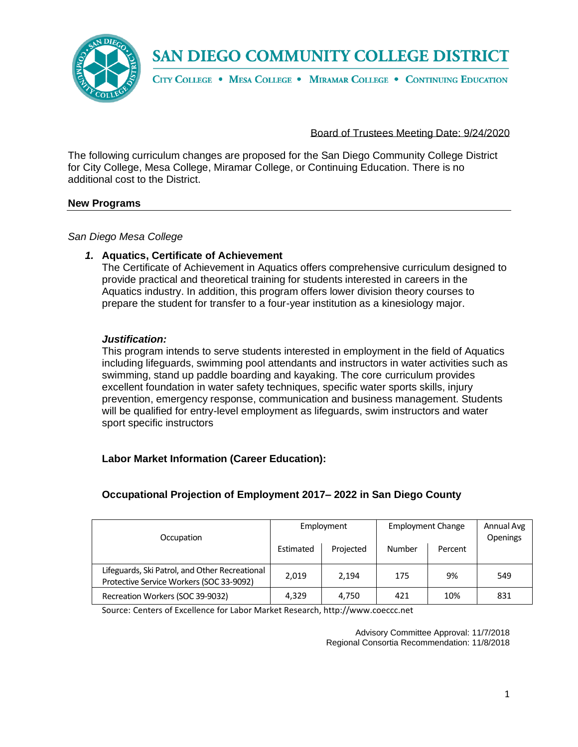

CITY COLLEGE . MESA COLLEGE . MIRAMAR COLLEGE . CONTINUING EDUCATION

Board of Trustees Meeting Date: 9/24/2020

The following curriculum changes are proposed for the San Diego Community College District for City College, Mesa College, Miramar College, or Continuing Education. There is no additional cost to the District.

#### **New Programs**

*San Diego Mesa College*

#### *1.* **Aquatics, Certificate of Achievement**

The Certificate of Achievement in Aquatics offers comprehensive curriculum designed to provide practical and theoretical training for students interested in careers in the Aquatics industry. In addition, this program offers lower division theory courses to prepare the student for transfer to a four-year institution as a kinesiology major.

#### *Justification:*

This program intends to serve students interested in employment in the field of Aquatics including lifeguards, swimming pool attendants and instructors in water activities such as swimming, stand up paddle boarding and kayaking. The core curriculum provides excellent foundation in water safety techniques, specific water sports skills, injury prevention, emergency response, communication and business management. Students will be qualified for entry-level employment as lifeguards, swim instructors and water sport specific instructors

#### **Labor Market Information (Career Education):**

## **Occupational Projection of Employment 2017– 2022 in San Diego County**

| Occupation                                                                                 | Employment |           | <b>Employment Change</b> |         | Annual Avg<br>Openings |
|--------------------------------------------------------------------------------------------|------------|-----------|--------------------------|---------|------------------------|
|                                                                                            | Estimated  | Projected | Number                   | Percent |                        |
| Lifeguards, Ski Patrol, and Other Recreational<br>Protective Service Workers (SOC 33-9092) | 2,019      | 2.194     | 175                      | 9%      | 549                    |
| Recreation Workers (SOC 39-9032)                                                           | 4,329      | 4,750     | 421                      | 10%     | 831                    |

Source: Centers of Excellence for Labor Market Research, http://www.coeccc.net

Advisory Committee Approval: 11/7/2018 Regional Consortia Recommendation: 11/8/2018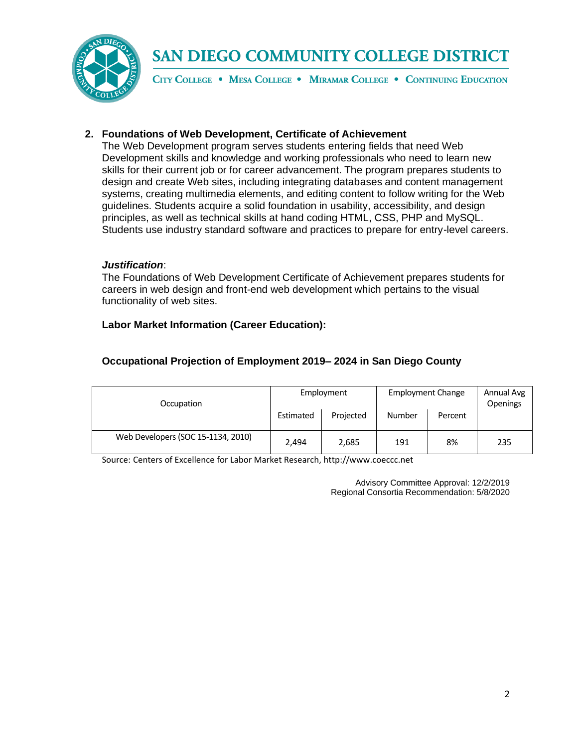

CITY COLLEGE . MESA COLLEGE . MIRAMAR COLLEGE . CONTINUING EDUCATION

#### **2. Foundations of Web Development, Certificate of Achievement**

The Web Development program serves students entering fields that need Web Development skills and knowledge and working professionals who need to learn new skills for their current job or for career advancement. The program prepares students to design and create Web sites, including integrating databases and content management systems, creating multimedia elements, and editing content to follow writing for the Web guidelines. Students acquire a solid foundation in usability, accessibility, and design principles, as well as technical skills at hand coding HTML, CSS, PHP and MySQL. Students use industry standard software and practices to prepare for entry-level careers.

#### *Justification*:

The Foundations of Web Development Certificate of Achievement prepares students for careers in web design and front-end web development which pertains to the visual functionality of web sites.

## **Labor Market Information (Career Education):**

## **Occupational Projection of Employment 2019– 2024 in San Diego County**

| Occupation                         | Employment |           | <b>Employment Change</b> |         | Annual Avg<br>Openings |
|------------------------------------|------------|-----------|--------------------------|---------|------------------------|
|                                    | Estimated  | Projected | Number                   | Percent |                        |
| Web Developers (SOC 15-1134, 2010) | 2.494      | 2,685     | 191                      | 8%      | 235                    |

Source: Centers of Excellence for Labor Market Research, http://www.coeccc.net

Advisory Committee Approval: 12/2/2019 Regional Consortia Recommendation: 5/8/2020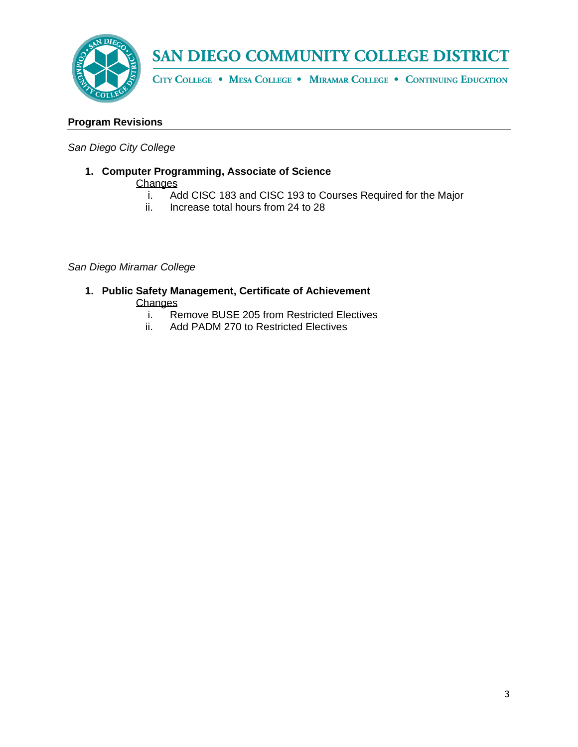

CITY COLLEGE . MESA COLLEGE . MIRAMAR COLLEGE . CONTINUING EDUCATION

#### **Program Revisions**

*San Diego City College*

- **1. Computer Programming, Associate of Science**  Changes
	- i. Add CISC 183 and CISC 193 to Courses Required for the Major
	- ii. Increase total hours from 24 to 28

#### *San Diego Miramar College*

- **1. Public Safety Management, Certificate of Achievement Changes** 
	- i. Remove BUSE 205 from Restricted Electives
	- ii. Add PADM 270 to Restricted Electives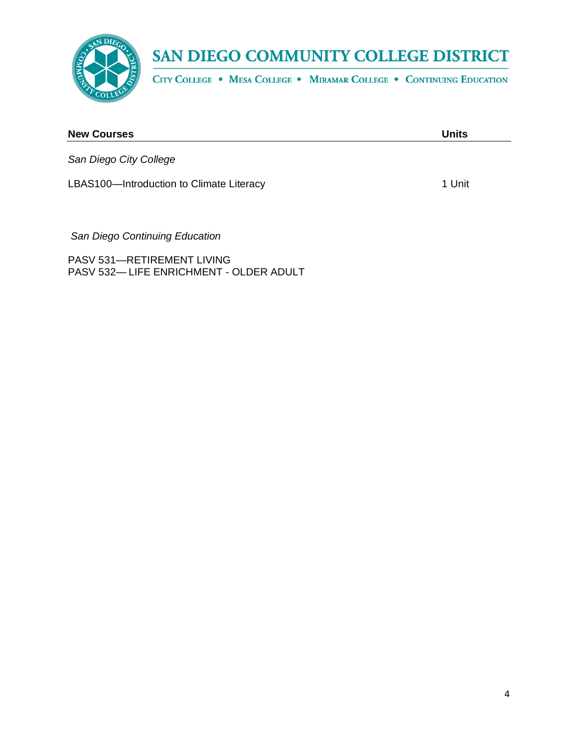

CITY COLLEGE . MESA COLLEGE . MIRAMAR COLLEGE . CONTINUING EDUCATION

| <b>New Courses</b>                       | <b>Units</b> |
|------------------------------------------|--------------|
| San Diego City College                   |              |
| LBAS100-Introduction to Climate Literacy | 1 Unit       |
|                                          |              |

*San Diego Continuing Education*

PASV 531—RETIREMENT LIVING PASV 532— LIFE ENRICHMENT - OLDER ADULT